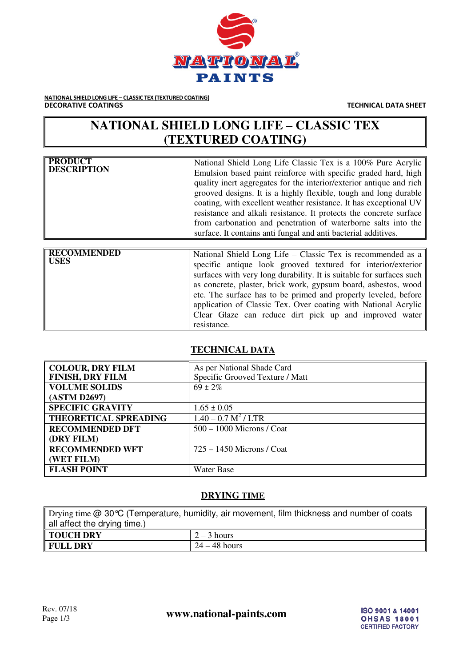

NATIONAL SHIELD LONG LIFE – CLASSIC TEX (TEXTURED COATING)<br>DECORATIVE COATINGS

**TECHNICAL DATA SHEET** 

## **NATIONAL SHIELD LONG LIFE – CLASSIC TEX (TEXTURED COATING)**

| <b>PRODUCT</b><br><b>DESCRIPTION</b> | National Shield Long Life Classic Tex is a 100% Pure Acrylic<br>Emulsion based paint reinforce with specific graded hard, high<br>quality inert aggregates for the interior/exterior antique and rich<br>grooved designs. It is a highly flexible, tough and long durable<br>coating, with excellent weather resistance. It has exceptional UV<br>resistance and alkali resistance. It protects the concrete surface<br>from carbonation and penetration of waterborne salts into the<br>surface. It contains anti-fungal and anti-bacterial additives. |
|--------------------------------------|---------------------------------------------------------------------------------------------------------------------------------------------------------------------------------------------------------------------------------------------------------------------------------------------------------------------------------------------------------------------------------------------------------------------------------------------------------------------------------------------------------------------------------------------------------|
|--------------------------------------|---------------------------------------------------------------------------------------------------------------------------------------------------------------------------------------------------------------------------------------------------------------------------------------------------------------------------------------------------------------------------------------------------------------------------------------------------------------------------------------------------------------------------------------------------------|

| <b>RECOMMENDED</b><br>   USES | National Shield Long Life – Classic Tex is recommended as a<br>specific antique look grooved textured for interior/exterior<br>surfaces with very long durability. It is suitable for surfaces such<br>as concrete, plaster, brick work, gypsum board, asbestos, wood<br>etc. The surface has to be primed and properly leveled, before<br>application of Classic Tex. Over coating with National Acrylic<br>Clear Glaze can reduce dirt pick up and improved water<br>resistance. |
|-------------------------------|------------------------------------------------------------------------------------------------------------------------------------------------------------------------------------------------------------------------------------------------------------------------------------------------------------------------------------------------------------------------------------------------------------------------------------------------------------------------------------|
|-------------------------------|------------------------------------------------------------------------------------------------------------------------------------------------------------------------------------------------------------------------------------------------------------------------------------------------------------------------------------------------------------------------------------------------------------------------------------------------------------------------------------|

#### **TECHNICAL DATA**

| <b>COLOUR, DRY FILM</b>      | As per National Shade Card      |
|------------------------------|---------------------------------|
| <b>FINISH, DRY FILM</b>      | Specific Grooved Texture / Matt |
| <b>VOLUME SOLIDS</b>         | $69 \pm 2\%$                    |
| (ASTM D2697)                 |                                 |
| <b>SPECIFIC GRAVITY</b>      | $1.65 \pm 0.05$                 |
| <b>THEORETICAL SPREADING</b> | $1.40 - 0.7 M2$ / LTR           |
| <b>RECOMMENDED DFT</b>       | $500 - 1000$ Microns / Coat     |
| (DRY FILM)                   |                                 |
| <b>RECOMMENDED WFT</b>       | $725 - 1450$ Microns / Coat     |
| (WET FILM)                   |                                 |
| <b>FLASH POINT</b>           | Water Base                      |

#### **DRYING TIME**

| Drying time $@$ 30 °C (Temperature, humidity, air movement, film thickness and number of coats |               |  |
|------------------------------------------------------------------------------------------------|---------------|--|
| all affect the drying time.)                                                                   |               |  |
| <b>TOUCH DRY</b>                                                                               | $2 - 3$ hours |  |
| $24 - 48$ hours<br><b>FULL DRY</b>                                                             |               |  |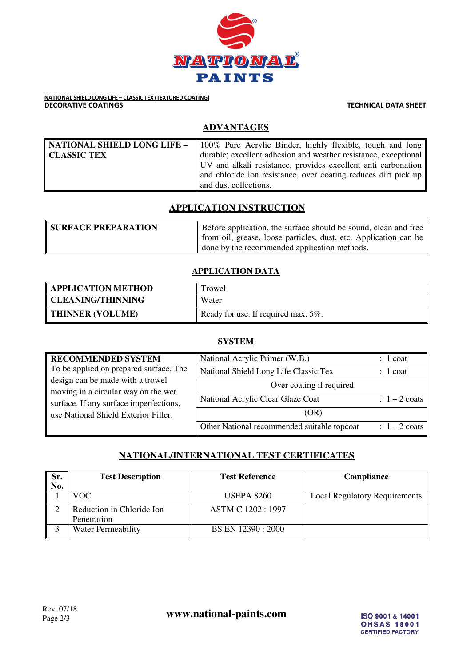

# NATIONAL SHIELD LONG LIFE – CLASSIC TEX (TEXTURED COATING)<br>DECORATIVE COATINGS

**TECHNICAL DATA SHEET** 

## **ADVANTAGES**

|                    | <b>NATIONAL SHIELD LONG LIFE –</b> 100% Pure Acrylic Binder, highly flexible, tough and long |  |
|--------------------|----------------------------------------------------------------------------------------------|--|
| <b>CLASSIC TEX</b> | durable; excellent adhesion and weather resistance, exceptional                              |  |
|                    | UV and alkali resistance, provides excellent anti carbonation                                |  |
|                    | and chloride ion resistance, over coating reduces dirt pick up $\parallel$                   |  |
|                    | and dust collections.                                                                        |  |

### **APPLICATION INSTRUCTION**

| <b>SURFACE PREPARATION</b> | Before application, the surface should be sound, clean and free  |
|----------------------------|------------------------------------------------------------------|
|                            | from oil, grease, loose particles, dust, etc. Application can be |
|                            | I done by the recommended application methods.                   |

#### **APPLICATION DATA**

| <b>APPLICATION METHOD</b> | Trowel                              |
|---------------------------|-------------------------------------|
| <b>CLEANING/THINNING</b>  | Water                               |
| <b>THINNER (VOLUME)</b>   | Ready for use. If required max. 5%. |

#### **SYSTEM**

| <b>RECOMMENDED SYSTEM</b>                                                     | National Acrylic Primer (W.B.)              | $: 1$ coat              |
|-------------------------------------------------------------------------------|---------------------------------------------|-------------------------|
| To be applied on prepared surface. The                                        | National Shield Long Life Classic Tex       | $: 1$ coat              |
| design can be made with a trowel                                              | Over coating if required.                   |                         |
| moving in a circular way on the wet<br>surface. If any surface imperfections, | National Acrylic Clear Glaze Coat           | $: 1-2 \text{ coats}$   |
| use National Shield Exterior Filler.                                          | (OR)                                        |                         |
|                                                                               | Other National recommended suitable topcoat | $: 1 - 2 \text{ coats}$ |

### **NATIONAL/INTERNATIONAL TEST CERTIFICATES**

| Sr.<br>No. | <b>Test Description</b>                  | <b>Test Reference</b>    | Compliance                           |
|------------|------------------------------------------|--------------------------|--------------------------------------|
|            | VOC.                                     | <b>USEPA 8260</b>        | <b>Local Regulatory Requirements</b> |
|            | Reduction in Chloride Ion<br>Penetration | <b>ASTM C 1202: 1997</b> |                                      |
|            | <b>Water Permeability</b>                | BS EN 12390 : 2000       |                                      |